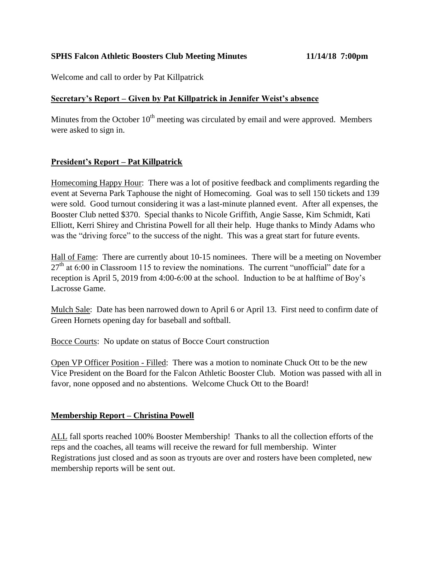# **SPHS Falcon Athletic Boosters Club Meeting Minutes 11/14/18 7:00pm**

Welcome and call to order by Pat Killpatrick

#### **Secretary's Report – Given by Pat Killpatrick in Jennifer Weist's absence**

Minutes from the October  $10<sup>th</sup>$  meeting was circulated by email and were approved. Members were asked to sign in.

# **President's Report – Pat Killpatrick**

Homecoming Happy Hour: There was a lot of positive feedback and compliments regarding the event at Severna Park Taphouse the night of Homecoming. Goal was to sell 150 tickets and 139 were sold. Good turnout considering it was a last-minute planned event. After all expenses, the Booster Club netted \$370. Special thanks to Nicole Griffith, Angie Sasse, Kim Schmidt, Kati Elliott, Kerri Shirey and Christina Powell for all their help. Huge thanks to Mindy Adams who was the "driving force" to the success of the night. This was a great start for future events.

Hall of Fame: There are currently about 10-15 nominees. There will be a meeting on November  $27<sup>th</sup>$  at 6:00 in Classroom 115 to review the nominations. The current "unofficial" date for a reception is April 5, 2019 from 4:00-6:00 at the school. Induction to be at halftime of Boy's Lacrosse Game.

Mulch Sale: Date has been narrowed down to April 6 or April 13. First need to confirm date of Green Hornets opening day for baseball and softball.

Bocce Courts: No update on status of Bocce Court construction

Open VP Officer Position - Filled: There was a motion to nominate Chuck Ott to be the new Vice President on the Board for the Falcon Athletic Booster Club. Motion was passed with all in favor, none opposed and no abstentions. Welcome Chuck Ott to the Board!

# **Membership Report – Christina Powell**

ALL fall sports reached 100% Booster Membership! Thanks to all the collection efforts of the reps and the coaches, all teams will receive the reward for full membership. Winter Registrations just closed and as soon as tryouts are over and rosters have been completed, new membership reports will be sent out.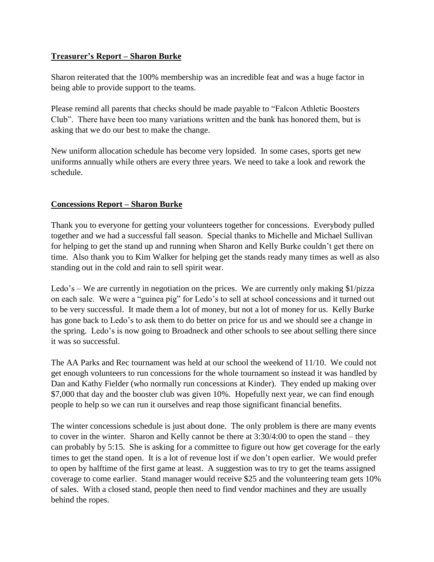# **Treasurer's Report – Sharon Burke**

Sharon reiterated that the 100% membership was an incredible feat and was a huge factor in being able to provide support to the teams.

Please remind all parents that checks should be made payable to "Falcon Athletic Boosters Club". There have been too many variations written and the bank has honored them, but is asking that we do our best to make the change.

New uniform allocation schedule has become very lopsided. In some cases, sports get new uniforms annually while others are every three years. We need to take a look and rework the schedule.

# **Concessions Report – Sharon Burke**

Thank you to everyone for getting your volunteers together for concessions. Everybody pulled together and we had a successful fall season. Special thanks to Michelle and Michael Sullivan for helping to get the stand up and running when Sharon and Kelly Burke couldn't get there on time. Also thank you to Kim Walker for helping get the stands ready many times as well as also standing out in the cold and rain to sell spirit wear.

Ledo's – We are currently in negotiation on the prices. We are currently only making \$1/pizza on each sale. We were a "guinea pig" for Ledo's to sell at school concessions and it turned out to be very successful. It made them a lot of money, but not a lot of money for us. Kelly Burke has gone back to Ledo's to ask them to do better on price for us and we should see a change in the spring. Ledo's is now going to Broadneck and other schools to see about selling there since it was so successful.

The AA Parks and Rec tournament was held at our school the weekend of 11/10. We could not get enough volunteers to run concessions for the whole tournament so instead it was handled by Dan and Kathy Fielder (who normally run concessions at Kinder). They ended up making over \$7,000 that day and the booster club was given 10%. Hopefully next year, we can find enough people to help so we can run it ourselves and reap those significant financial benefits.

The winter concessions schedule is just about done. The only problem is there are many events to cover in the winter. Sharon and Kelly cannot be there at 3:30/4:00 to open the stand – they can probably by 5:15. She is asking for a committee to figure out how get coverage for the early times to get the stand open. It is a lot of revenue lost if we don't open earlier. We would prefer to open by halftime of the first game at least. A suggestion was to try to get the teams assigned coverage to come earlier. Stand manager would receive \$25 and the volunteering team gets 10% of sales. With a closed stand, people then need to find vendor machines and they are usually behind the ropes.